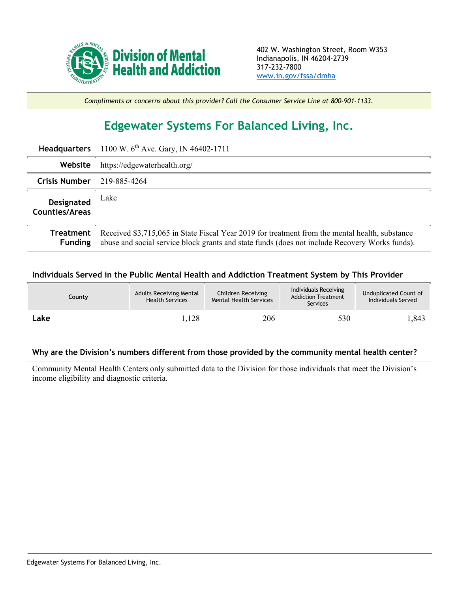

*Compliments or concerns about this provider? Call the Consumer Service Line at 800-901-1133.*

## **Edgewater Systems For Balanced Living, Inc.**

|                                            | <b>Headquarters</b> 1100 W. $6^{th}$ Ave. Gary, IN 46402-1711                                                                                                                                    |  |  |  |
|--------------------------------------------|--------------------------------------------------------------------------------------------------------------------------------------------------------------------------------------------------|--|--|--|
| Website                                    | https://edgewaterhealth.org/                                                                                                                                                                     |  |  |  |
| <b>Crisis Number</b>                       | 219-885-4264                                                                                                                                                                                     |  |  |  |
| <b>Designated</b><br><b>Counties/Areas</b> | Lake                                                                                                                                                                                             |  |  |  |
| Treatment<br><b>Funding</b>                | Received \$3,715,065 in State Fiscal Year 2019 for treatment from the mental health, substance<br>abuse and social service block grants and state funds (does not include Recovery Works funds). |  |  |  |

## **Individuals Served in the Public Mental Health and Addiction Treatment System by This Provider**

| <b>County</b> | <b>Adults Receiving Mental</b><br><b>Health Services</b> | Children Receiving<br><b>Mental Health Services</b> | Individuals Receiving<br><b>Addiction Treatment</b><br>Services | Unduplicated Count of<br>Individuals Served |
|---------------|----------------------------------------------------------|-----------------------------------------------------|-----------------------------------------------------------------|---------------------------------------------|
| Lake          | .128                                                     | 206                                                 | 530                                                             | 843. ا                                      |

## **Why are the Division's numbers different from those provided by the community mental health center?**

Community Mental Health Centers only submitted data to the Division for those individuals that meet the Division's income eligibility and diagnostic criteria.